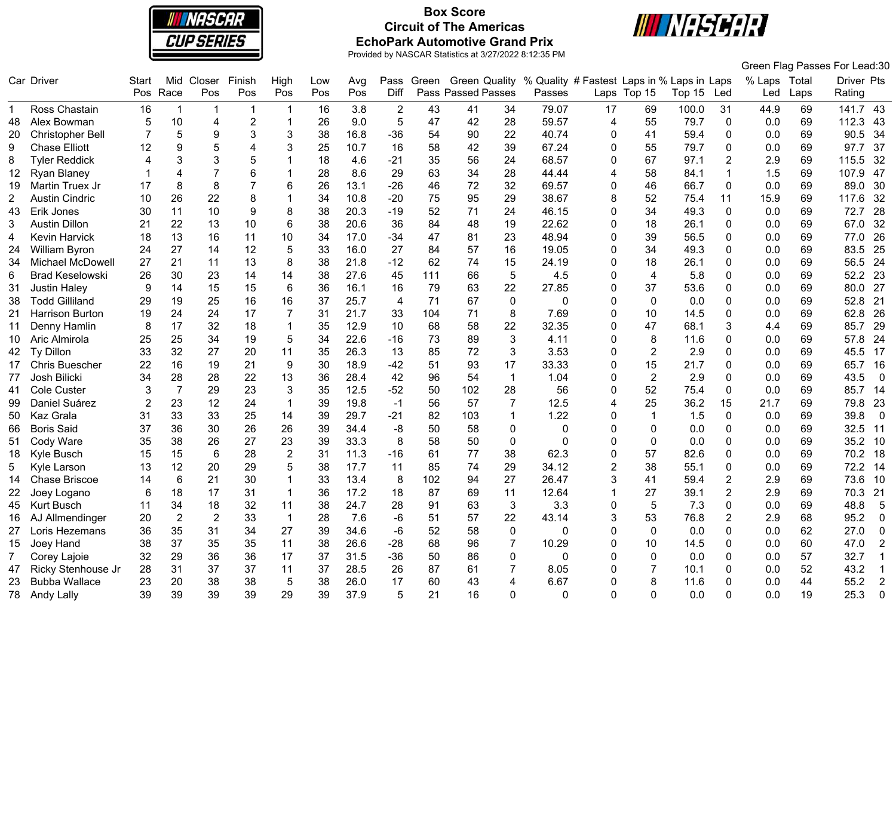

# **Box Score Circuit of The Americas EchoPark Automotive Grand Prix**



|                |                        |               |                |                 |                |                |            |            |                |       |                                            |                |                                                      |                |                |          |                |                     |      | Green Flag Passes For Lead:30 |
|----------------|------------------------|---------------|----------------|-----------------|----------------|----------------|------------|------------|----------------|-------|--------------------------------------------|----------------|------------------------------------------------------|----------------|----------------|----------|----------------|---------------------|------|-------------------------------|
|                | Car Driver             | Start<br>Pos. | Mid<br>Race    | Closer<br>Pos   | Finish<br>Pos  | High<br>Pos    | Low<br>Pos | Avg<br>Pos | Pass<br>Diff   | Green | <b>Green Quality</b><br>Pass Passed Passes |                | % Quality # Fastest Laps in % Laps in Laps<br>Passes |                | Laps Top 15    |          |                | % Laps Total<br>Led |      | Driver Pts<br>Rating          |
|                |                        |               |                |                 |                |                |            |            |                |       |                                            |                |                                                      |                |                | Top $15$ | Led            |                     | Laps |                               |
| 1.             | Ross Chastain          | 16            | $\mathbf{1}$   | $\mathbf 1$     | $\overline{1}$ | $\mathbf 1$    | 16         | 3.8        | 2              | 43    | 41                                         | 34             | 79.07                                                | 17             | 69             | 100.0    | 31             | 44.9                | 69   | 141.7 43                      |
| 48             | Alex Bowman            | 5             | 10             | $\overline{4}$  | $\overline{c}$ |                | 26         | 9.0        | 5              | 47    | 42                                         | 28             | 59.57                                                | 4              | 55             | 79.7     | $\mathbf 0$    | 0.0                 | 69   | 112.3<br>-43                  |
| 20             | Christopher Bell       |               | 5              | 9               | 3              | 3              | 38         | 16.8       | $-36$          | 54    | 90                                         | 22             | 40.74                                                | 0              | 41             | 59.4     | 0              | 0.0                 | 69   | 90.5<br>34                    |
| 9              | <b>Chase Elliott</b>   | 12            | 9              | 5               | $\overline{4}$ | 3              | 25         | 10.7       | 16             | 58    | 42                                         | 39             | 67.24                                                | $\Omega$       | 55             | 79.7     | $\Omega$       | 0.0                 | 69   | 37<br>97.7                    |
| 8              | <b>Tyler Reddick</b>   | 4             | 3              | 3               | 5              |                | 18         | 4.6        | $-21$          | 35    | 56                                         | 24             | 68.57                                                | 0              | 67             | 97.1     | 2              | 2.9                 | 69   | 115.5<br>32                   |
| 12             | Ryan Blaney            |               | 4              | $\overline{7}$  | 6              |                | 28         | 8.6        | 29             | 63    | 34                                         | 28             | 44.44                                                | 4              | 58             | 84.1     | $\overline{1}$ | 1.5                 | 69   | 107.9<br>47                   |
| 19             | Martin Truex Jr        | 17            | 8              | 8               | $\overline{7}$ | 6              | 26         | 13.1       | $-26$          | 46    | 72                                         | 32             | 69.57                                                | 0              | 46             | 66.7     | $\mathbf{0}$   | 0.0                 | 69   | 30<br>89.0                    |
| $\overline{2}$ | <b>Austin Cindric</b>  | 10            | 26             | 22              | 8              |                | 34         | 10.8       | $-20$          | 75    | 95                                         | 29             | 38.67                                                | 8              | 52             | 75.4     | 11             | 15.9                | 69   | 32<br>117.6                   |
| 43             | Erik Jones             | 30            | 11             | 10              | $9\,$          | 8              | 38         | 20.3       | $-19$          | 52    | 71                                         | 24             | 46.15                                                | 0              | 34             | 49.3     | $\mathbf{0}$   | 0.0                 | 69   | 72.7<br>28                    |
| 3              | <b>Austin Dillon</b>   | 21            | 22             | 13              | 10             | $6\phantom{1}$ | 38         | 20.6       | 36             | 84    | 48                                         | 19             | 22.62                                                | 0              | 18             | 26.1     | $\Omega$       | 0.0                 | 69   | 67.0<br>32                    |
| 4              | <b>Kevin Harvick</b>   | 18            | 13             | 16              | 11             | 10             | 34         | 17.0       | $-34$          | 47    | 81                                         | 23             | 48.94                                                | $\Omega$       | 39             | 56.5     | 0              | 0.0                 | 69   | 26<br>77.0                    |
| 24             | William Byron          | 24            | 27             | 14              | 12             | 5              | 33         | 16.0       | 27             | 84    | 57                                         | 16             | 19.05                                                | 0              | 34             | 49.3     | $\Omega$       | 0.0                 | 69   | 25<br>83.5                    |
| 34             | Michael McDowell       | 27            | 21             | 11              | 13             | 8              | 38         | 21.8       | $-12$          | 62    | 74                                         | 15             | 24.19                                                | $\Omega$       | 18             | 26.1     | $\mathbf{0}$   | 0.0                 | 69   | 56.5<br>24                    |
| 6              | <b>Brad Keselowski</b> | 26            | 30             | 23              | 14             | 14             | 38         | 27.6       | 45             | 111   | 66                                         | 5              | 4.5                                                  | 0              | $\overline{4}$ | 5.8      | $\Omega$       | 0.0                 | 69   | 52.2<br>-23                   |
| 31             | <b>Justin Haley</b>    | 9             | 14             | 15              | 15             | 6              | 36         | 16.1       | 16             | 79    | 63                                         | 22             | 27.85                                                | $\Omega$       | 37             | 53.6     | $\Omega$       | 0.0                 | 69   | 80.0<br>27                    |
| 38             | <b>Todd Gilliland</b>  | 29            | 19             | 25              | 16             | 16             | 37         | 25.7       | $\overline{4}$ | 71    | 67                                         | $\mathbf 0$    | 0                                                    | $\Omega$       | $\mathbf 0$    | 0.0      | 0              | 0.0                 | 69   | 52.8<br>21                    |
| 21             | Harrison Burton        | 19            | 24             | 24              | 17             | 7              | 31         | 21.7       | 33             | 104   | 71                                         | 8              | 7.69                                                 | 0              | 10             | 14.5     | $\Omega$       | 0.0                 | 69   | 26<br>62.8                    |
| 11             | Denny Hamlin           | 8             | 17             | 32              | 18             | $\mathbf 1$    | 35         | 12.9       | 10             | 68    | 58                                         | 22             | 32.35                                                | 0              | 47             | 68.1     | 3              | 4.4                 | 69   | 85.7<br>29                    |
| 10             | Aric Almirola          | 25            | 25             | 34              | 19             | 5              | 34         | 22.6       | $-16$          | 73    | 89                                         | $\mathbf{3}$   | 4.11                                                 | 0              | 8              | 11.6     | $\Omega$       | 0.0                 | 69   | 24<br>57.8                    |
| 42             | Ty Dillon              | 33            | 32             | 27              | 20             | 11             | 35         | 26.3       | 13             | 85    | 72                                         | 3              | 3.53                                                 | $\Omega$       | $\overline{2}$ | 2.9      | $\Omega$       | 0.0                 | 69   | 45.5<br>17                    |
| 17             | <b>Chris Buescher</b>  | 22            | 16             | 19              | 21             | 9              | 30         | 18.9       | $-42$          | 51    | 93                                         | 17             | 33.33                                                | $\Omega$       | 15             | 21.7     | $\Omega$       | 0.0                 | 69   | 65.7<br>16                    |
| 77             | Josh Bilicki           | 34            | 28             | 28              | 22             | 13             | 36         | 28.4       | 42             | 96    | 54                                         | $\mathbf{1}$   | 1.04                                                 | 0              | $\overline{2}$ | 2.9      | $\Omega$       | 0.0                 | 69   | 43.5<br>$\overline{0}$        |
| 41             | Cole Custer            | 3             | $\overline{7}$ | 29              | 23             | 3              | 35         | 12.5       | $-52$          | 50    | 102                                        | 28             | 56                                                   | 0              | 52             | 75.4     | $\mathbf 0$    | 0.0                 | 69   | 85.7<br>14                    |
| 99             | Daniel Suárez          | 2             | 23             | 12              | 24             | $\overline{1}$ | 39         | 19.8       | $-1$           | 56    | 57                                         | $\overline{7}$ | 12.5                                                 | 4              | 25             | 36.2     | 15             | 21.7                | 69   | 23<br>79.8                    |
| 50             | Kaz Grala              | 31            | 33             | 33              | 25             | 14             | 39         | 29.7       | $-21$          | 82    | 103                                        | 1              | 1.22                                                 | 0              | $\mathbf 1$    | 1.5      | $\mathbf{0}$   | 0.0                 | 69   | 39.8<br>$\overline{0}$        |
| 66             | <b>Boris Said</b>      | 37            | 36             | 30              | 26             | 26             | 39         | 34.4       | -8             | 50    | 58                                         | 0              | $\mathbf{0}$                                         | 0              | 0              | 0.0      | $\mathbf{0}$   | 0.0                 | 69   | 32.5<br>11                    |
| 51             | Cody Ware              | 35            | 38             | 26              | 27             | 23             | 39         | 33.3       | 8              | 58    | 50                                         | $\pmb{0}$      | $\mathbf 0$                                          | 0              | 0              | 0.0      | $\mathbf 0$    | 0.0                 | 69   | 35.2<br>-10                   |
| 18             | Kyle Busch             | 15            | 15             | $6\phantom{1}6$ | 28             | $\overline{2}$ | 31         | 11.3       | $-16$          | 61    | 77                                         | 38             | 62.3                                                 | 0              | 57             | 82.6     | $\Omega$       | 0.0                 | 69   | 70.2<br>18                    |
| 5              | Kyle Larson            | 13            | 12             | 20              | 29             | 5              | 38         | 17.7       | 11             | 85    | 74                                         | 29             | 34.12                                                | $\overline{2}$ | 38             | 55.1     | $\Omega$       | 0.0                 | 69   | 72.2<br>-14                   |
| 14             | <b>Chase Briscoe</b>   | 14            | 6              | 21              | 30             | $\overline{1}$ | 33         | 13.4       | 8              | 102   | 94                                         | 27             | 26.47                                                | 3              | 41             | 59.4     | $\overline{2}$ | 2.9                 | 69   | 73.6<br>10                    |
| 22             | Joey Logano            | 6             | 18             | 17              | 31             | $\overline{1}$ | 36         | 17.2       | 18             | 87    | 69                                         | 11             | 12.64                                                | 1              | 27             | 39.1     | $\overline{2}$ | 2.9                 | 69   | 70.3<br>21                    |
| 45             | Kurt Busch             | 11            | 34             | 18              | 32             | 11             | 38         | 24.7       | 28             | 91    | 63                                         | 3              | 3.3                                                  | 0              | 5              | 7.3      | 0              | 0.0                 | 69   | 48.8<br>5                     |
| 16             | AJ Allmendinger        | 20            | $\overline{2}$ | 2               | 33             | $\overline{1}$ | 28         | 7.6        | -6             | 51    | 57                                         | 22             | 43.14                                                | 3              | 53             | 76.8     | $\overline{2}$ | 2.9                 | 68   | 95.2<br>$\mathbf 0$           |
| 27             | Loris Hezemans         | 36            | 35             | 31              | 34             | 27             | 39         | 34.6       | $-6$           | 52    | 58                                         | $\mathbf 0$    | 0                                                    | $\Omega$       | $\mathbf 0$    | 0.0      | $\Omega$       | 0.0                 | 62   | 27.0<br>$\mathbf 0$           |
| 15             | Joey Hand              | 38            | 37             | 35              | 35             | 11             | 38         | 26.6       | $-28$          | 68    | 96                                         | $\overline{7}$ | 10.29                                                | 0              | 10             | 14.5     | 0              | 0.0                 | 60   | $\overline{2}$<br>47.0        |
| $\overline{7}$ | Corey Lajoie           | 32            | 29             | 36              | 36             | 17             | 37         | 31.5       | $-36$          | 50    | 86                                         | 0              | 0                                                    | 0              | 0              | 0.0      | $\Omega$       | 0.0                 | 57   | 32.7<br>$\mathbf{1}$          |
| 47             | Ricky Stenhouse Jr     | 28            | 31             | 37              | 37             | 11             | 37         | 28.5       | 26             | 87    | 61                                         | 7              | 8.05                                                 | 0              |                | 10.1     | 0              | 0.0                 | 52   | 43.2<br>$\mathbf{1}$          |
| 23             | <b>Bubba Wallace</b>   | 23            | 20             | 38              | 38             | 5              | 38         | 26.0       | 17             | 60    | 43                                         | 4              | 6.67                                                 | 0              | 8              | 11.6     | 0              | 0.0                 | 44   | 55.2<br>$\overline{2}$        |
| 78             | <b>Andy Lally</b>      | 39            | 39             | 39              | 39             | 29             | 39         | 37.9       | 5              | 21    | 16                                         | 0              | $\Omega$                                             | $\Omega$       | $\Omega$       | 0.0      | $\Omega$       | 0.0                 | 19   | 25.3<br>$\mathbf 0$           |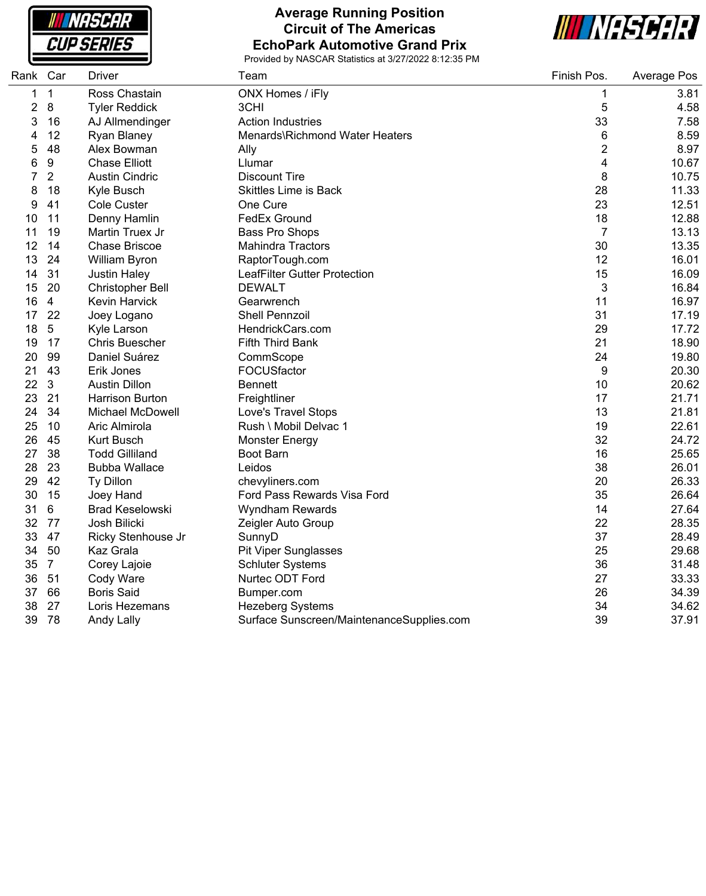**NASCAR CUP SERIES** 

#### **Average Running Position Circuit of The Americas EchoPark Automotive Grand Prix**



| Rank Car |                | <b>Driver</b>           | Team                                      | Finish Pos.    | Average Pos |
|----------|----------------|-------------------------|-------------------------------------------|----------------|-------------|
| 1        | $\mathbf{1}$   | Ross Chastain           | ONX Homes / iFly                          | 1              | 3.81        |
| 2        | 8              | <b>Tyler Reddick</b>    | 3CHI                                      | 5              | 4.58        |
| 3        | 16             | AJ Allmendinger         | <b>Action Industries</b>                  | 33             | 7.58        |
| 4        | 12             | Ryan Blaney             | Menards\Richmond Water Heaters            | $\,6$          | 8.59        |
| 5        | 48             | Alex Bowman             | Ally                                      | $\overline{c}$ | 8.97        |
| 6        | 9              | <b>Chase Elliott</b>    | Llumar                                    | 4              | 10.67       |
| 7        | $\overline{2}$ | <b>Austin Cindric</b>   | <b>Discount Tire</b>                      | 8              | 10.75       |
| 8        | 18             | Kyle Busch              | <b>Skittles Lime is Back</b>              | 28             | 11.33       |
| 9        | 41             | Cole Custer             | One Cure                                  | 23             | 12.51       |
| 10       | 11             | Denny Hamlin            | <b>FedEx Ground</b>                       | 18             | 12.88       |
| 11       | 19             | Martin Truex Jr         | <b>Bass Pro Shops</b>                     | 7              | 13.13       |
| 12       | 14             | <b>Chase Briscoe</b>    | <b>Mahindra Tractors</b>                  | 30             | 13.35       |
| 13       | 24             | William Byron           | RaptorTough.com                           | 12             | 16.01       |
| 14       | 31             | <b>Justin Haley</b>     | LeafFilter Gutter Protection              | 15             | 16.09       |
| 15       | 20             | <b>Christopher Bell</b> | <b>DEWALT</b>                             | 3              | 16.84       |
| 16       | $\overline{4}$ | <b>Kevin Harvick</b>    | Gearwrench                                | 11             | 16.97       |
| 17       | 22             | Joey Logano             | <b>Shell Pennzoil</b>                     | 31             | 17.19       |
| 18       | 5              | Kyle Larson             | HendrickCars.com                          | 29             | 17.72       |
| 19       | 17             | <b>Chris Buescher</b>   | Fifth Third Bank                          | 21             | 18.90       |
| 20       | 99             | Daniel Suárez           | CommScope                                 | 24             | 19.80       |
| 21       | 43             | Erik Jones              | FOCUSfactor                               | 9              | 20.30       |
| 22       | 3              | <b>Austin Dillon</b>    | <b>Bennett</b>                            | 10             | 20.62       |
| 23       | 21             | Harrison Burton         | Freightliner                              | 17             | 21.71       |
| 24       | 34             | <b>Michael McDowell</b> | Love's Travel Stops                       | 13             | 21.81       |
| 25       | 10             | Aric Almirola           | Rush \ Mobil Delvac 1                     | 19             | 22.61       |
| 26       | 45             | <b>Kurt Busch</b>       | <b>Monster Energy</b>                     | 32             | 24.72       |
| 27       | 38             | <b>Todd Gilliland</b>   | Boot Barn                                 | 16             | 25.65       |
| 28       | 23             | <b>Bubba Wallace</b>    | Leidos                                    | 38             | 26.01       |
| 29       | 42             | Ty Dillon               | chevyliners.com                           | 20             | 26.33       |
| 30       | 15             | Joey Hand               | Ford Pass Rewards Visa Ford               | 35             | 26.64       |
| 31       | $6\phantom{1}$ | <b>Brad Keselowski</b>  | <b>Wyndham Rewards</b>                    | 14             | 27.64       |
| 32       | 77             | Josh Bilicki            | Zeigler Auto Group                        | 22             | 28.35       |
| 33       | 47             | Ricky Stenhouse Jr      | SunnyD                                    | 37             | 28.49       |
| 34       | 50             | Kaz Grala               | <b>Pit Viper Sunglasses</b>               | 25             | 29.68       |
| 35       | $\overline{7}$ | Corey Lajoie            | <b>Schluter Systems</b>                   | 36             | 31.48       |
| 36       | 51             | Cody Ware               | Nurtec ODT Ford                           | 27             | 33.33       |
| 37       | 66             | <b>Boris Said</b>       | Bumper.com                                | 26             | 34.39       |
| 38       | 27             | Loris Hezemans          | <b>Hezeberg Systems</b>                   | 34             | 34.62       |
| 39       | 78             | <b>Andy Lally</b>       | Surface Sunscreen/MaintenanceSupplies.com | 39             | 37.91       |
|          |                |                         |                                           |                |             |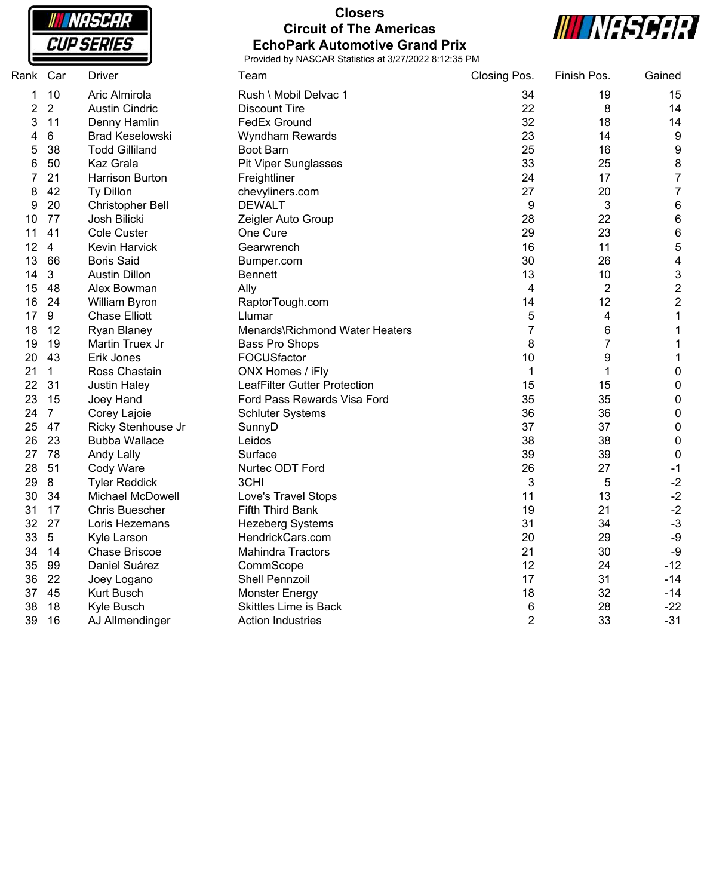**INASCAR CUP SERIES** 

## **Closers Circuit of The Americas EchoPark Automotive Grand Prix**



| Rank Car |                 | <b>Driver</b>           | Team                           | Closing Pos.   | Finish Pos.               | Gained           |
|----------|-----------------|-------------------------|--------------------------------|----------------|---------------------------|------------------|
| 1        | 10              | Aric Almirola           | Rush \ Mobil Delvac 1          | 34             | 19                        | 15               |
| 2        | $\overline{2}$  | <b>Austin Cindric</b>   | <b>Discount Tire</b>           | 22             | 8                         | 14               |
| 3        | 11              | Denny Hamlin            | FedEx Ground                   | 32             | 18                        | 14               |
| 4        | $6\phantom{1}6$ | <b>Brad Keselowski</b>  | <b>Wyndham Rewards</b>         | 23             | 14                        | 9                |
| 5        | 38              | <b>Todd Gilliland</b>   | Boot Barn                      | 25             | 16                        | $\boldsymbol{9}$ |
| 6        | 50              | <b>Kaz Grala</b>        | <b>Pit Viper Sunglasses</b>    | 33             | 25                        | 8                |
| 7        | 21              | <b>Harrison Burton</b>  | Freightliner                   | 24             | 17                        | 7                |
| 8        | 42              | Ty Dillon               | chevyliners.com                | 27             | 20                        | 7                |
| 9        | 20              | <b>Christopher Bell</b> | <b>DEWALT</b>                  | 9              | $\ensuremath{\mathsf{3}}$ | 6                |
| 10       | 77              | Josh Bilicki            | Zeigler Auto Group             | 28             | 22                        | 6                |
| 11       | 41              | Cole Custer             | One Cure                       | 29             | 23                        | $\,6$            |
| 12       | $\overline{4}$  | <b>Kevin Harvick</b>    | Gearwrench                     | 16             | 11                        | 5                |
| 13       | 66              | <b>Boris Said</b>       | Bumper.com                     | 30             | 26                        | 4                |
| 14       | 3               | <b>Austin Dillon</b>    | <b>Bennett</b>                 | 13             | 10                        | 3                |
| 15       | 48              | Alex Bowman             | Ally                           | 4              | $\overline{2}$            | $\overline{c}$   |
| 16       | 24              | William Byron           | RaptorTough.com                | 14             | 12                        | $\overline{2}$   |
| 17       | 9               | <b>Chase Elliott</b>    | Llumar                         | 5              | 4                         | 1                |
| 18       | 12              | Ryan Blaney             | Menards\Richmond Water Heaters | $\overline{7}$ | 6                         | 1                |
| 19       | 19              | Martin Truex Jr         | <b>Bass Pro Shops</b>          | 8              | 7                         | 1                |
| 20       | 43              | Erik Jones              | FOCUSfactor                    | 10             | 9                         | 1                |
| 21       | $\mathbf 1$     | Ross Chastain           | ONX Homes / iFly               | $\mathbf 1$    | 1                         | 0                |
| 22       | 31              | <b>Justin Haley</b>     | LeafFilter Gutter Protection   | 15             | 15                        | 0                |
| 23       | 15              | Joey Hand               | Ford Pass Rewards Visa Ford    | 35             | 35                        | 0                |
| 24       | $\overline{7}$  | Corey Lajoie            | <b>Schluter Systems</b>        | 36             | 36                        | 0                |
| 25       | 47              | Ricky Stenhouse Jr      | SunnyD                         | 37             | 37                        | 0                |
| 26       | 23              | <b>Bubba Wallace</b>    | Leidos                         | 38             | 38                        | 0                |
| 27       | 78              | Andy Lally              | Surface                        | 39             | 39                        | 0                |
| 28       | 51              | Cody Ware               | Nurtec ODT Ford                | 26             | 27                        | $-1$             |
| 29       | 8               | <b>Tyler Reddick</b>    | 3CHI                           | 3              | 5                         | $-2$             |
| 30       | 34              | <b>Michael McDowell</b> | Love's Travel Stops            | 11             | 13                        | $-2$             |
| 31       | 17              | <b>Chris Buescher</b>   | Fifth Third Bank               | 19             | 21                        | $-2$             |
| 32       | 27              | Loris Hezemans          | <b>Hezeberg Systems</b>        | 31             | 34                        | $-3$             |
| 33       | $\sqrt{5}$      | Kyle Larson             | HendrickCars.com               | 20             | 29                        | -9               |
| 34       | 14              | <b>Chase Briscoe</b>    | Mahindra Tractors              | 21             | 30                        | $-9$             |
| 35       | 99              | Daniel Suárez           | CommScope                      | 12             | 24                        | $-12$            |
| 36       | 22              | Joey Logano             | Shell Pennzoil                 | 17             | 31                        | $-14$            |
| 37       | 45              | <b>Kurt Busch</b>       | <b>Monster Energy</b>          | 18             | 32                        | $-14$            |
| 38       | 18              | Kyle Busch              | <b>Skittles Lime is Back</b>   | 6              | 28                        | $-22$            |
| 39       | 16              | AJ Allmendinger         | <b>Action Industries</b>       | $\overline{2}$ | 33                        | $-31$            |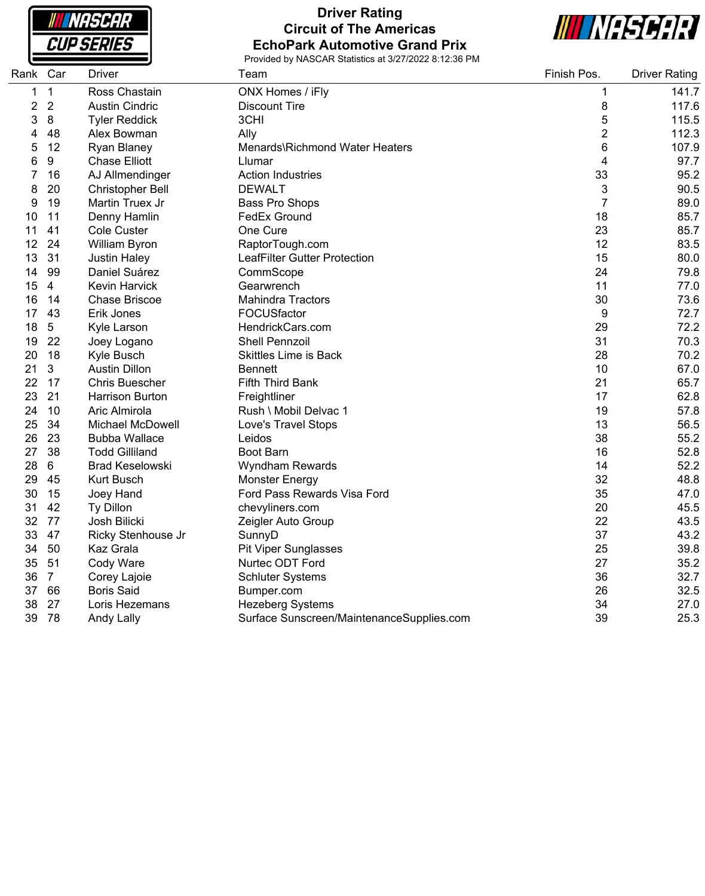**INASCAR CUP SERIES** 

## **Driver Rating Circuit of The Americas EchoPark Automotive Grand Prix**



| Rank Car |                | Driver                  | Team                                      | Finish Pos.    | <b>Driver Rating</b> |
|----------|----------------|-------------------------|-------------------------------------------|----------------|----------------------|
| 1        | $\mathbf{1}$   | Ross Chastain           | ONX Homes / iFly                          | 1              | 141.7                |
| 2        | $\overline{2}$ | <b>Austin Cindric</b>   | <b>Discount Tire</b>                      | 8              | 117.6                |
| 3        | 8              | <b>Tyler Reddick</b>    | 3CHI                                      | 5              | 115.5                |
| 4        | 48             | Alex Bowman             | Ally                                      | $\overline{2}$ | 112.3                |
| 5        | 12             | Ryan Blaney             | Menards\Richmond Water Heaters            | 6              | 107.9                |
| 6        | 9              | <b>Chase Elliott</b>    | Llumar                                    | 4              | 97.7                 |
| 7        | 16             | AJ Allmendinger         | <b>Action Industries</b>                  | 33             | 95.2                 |
| 8        | 20             | <b>Christopher Bell</b> | <b>DEWALT</b>                             | $\mathbf{3}$   | 90.5                 |
| 9        | 19             | Martin Truex Jr         | <b>Bass Pro Shops</b>                     | $\overline{7}$ | 89.0                 |
| 10       | 11             | Denny Hamlin            | FedEx Ground                              | 18             | 85.7                 |
| 11       | 41             | <b>Cole Custer</b>      | One Cure                                  | 23             | 85.7                 |
| 12       | 24             | William Byron           | RaptorTough.com                           | 12             | 83.5                 |
| 13       | 31             | <b>Justin Haley</b>     | LeafFilter Gutter Protection              | 15             | 80.0                 |
| 14       | 99             | Daniel Suárez           | CommScope                                 | 24             | 79.8                 |
| 15       | $\overline{4}$ | <b>Kevin Harvick</b>    | Gearwrench                                | 11             | 77.0                 |
| 16       | 14             | <b>Chase Briscoe</b>    | <b>Mahindra Tractors</b>                  | 30             | 73.6                 |
| 17       | 43             | Erik Jones              | FOCUSfactor                               | 9              | 72.7                 |
| 18       | 5              | Kyle Larson             | HendrickCars.com                          | 29             | 72.2                 |
| 19       | 22             | Joey Logano             | Shell Pennzoil                            | 31             | 70.3                 |
| 20       | 18             | Kyle Busch              | <b>Skittles Lime is Back</b>              | 28             | 70.2                 |
| 21       | 3              | <b>Austin Dillon</b>    | <b>Bennett</b>                            | 10             | 67.0                 |
| 22       | 17             | <b>Chris Buescher</b>   | Fifth Third Bank                          | 21             | 65.7                 |
| 23       | 21             | <b>Harrison Burton</b>  | Freightliner                              | 17             | 62.8                 |
| 24       | 10             | Aric Almirola           | Rush \ Mobil Delvac 1                     | 19             | 57.8                 |
| 25       | 34             | <b>Michael McDowell</b> | Love's Travel Stops                       | 13             | 56.5                 |
| 26       | 23             | <b>Bubba Wallace</b>    | Leidos                                    | 38             | 55.2                 |
| 27       | 38             | <b>Todd Gilliland</b>   | Boot Barn                                 | 16             | 52.8                 |
| 28       | $6\phantom{1}$ | <b>Brad Keselowski</b>  | Wyndham Rewards                           | 14             | 52.2                 |
| 29       | 45             | Kurt Busch              | <b>Monster Energy</b>                     | 32             | 48.8                 |
| 30       | 15             | Joey Hand               | Ford Pass Rewards Visa Ford               | 35             | 47.0                 |
| 31       | 42             | Ty Dillon               | chevyliners.com                           | 20             | 45.5                 |
| 32       | 77             | Josh Bilicki            | Zeigler Auto Group                        | 22             | 43.5                 |
| 33       | 47             | Ricky Stenhouse Jr      | SunnyD                                    | 37             | 43.2                 |
| 34       | 50             | Kaz Grala               | <b>Pit Viper Sunglasses</b>               | 25             | 39.8                 |
| 35       | 51             | Cody Ware               | Nurtec ODT Ford                           | 27             | 35.2                 |
| 36       | $\overline{7}$ | Corey Lajoie            | <b>Schluter Systems</b>                   | 36             | 32.7                 |
| 37       | 66             | <b>Boris Said</b>       | Bumper.com                                | 26             | 32.5                 |
| 38       | 27             | Loris Hezemans          | <b>Hezeberg Systems</b>                   | 34             | 27.0                 |
| 39       | 78             | <b>Andy Lally</b>       | Surface Sunscreen/MaintenanceSupplies.com | 39             | 25.3                 |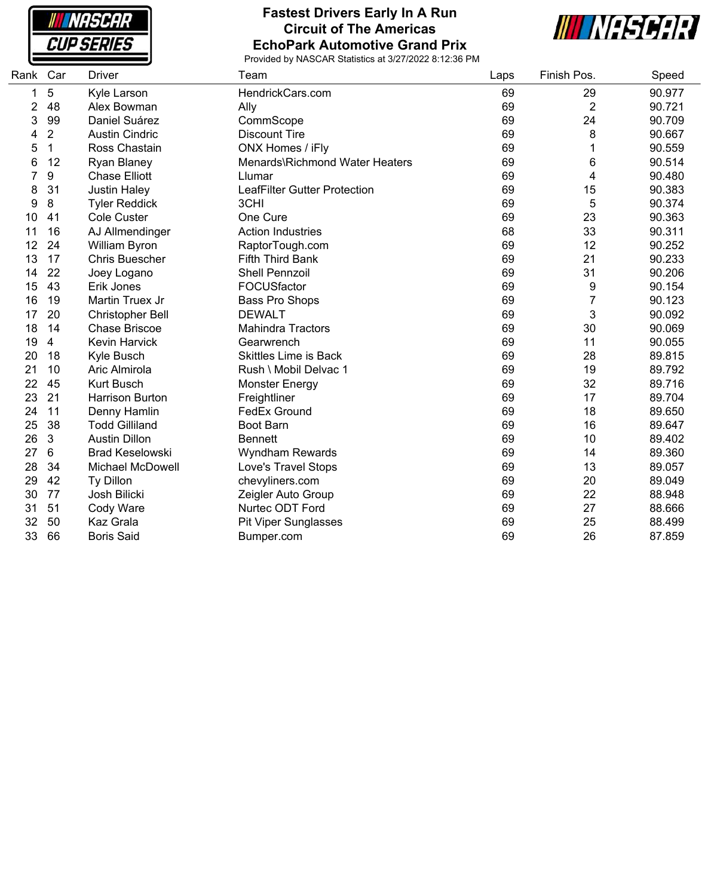**NASCAR CUP SERIES** 

#### **Fastest Drivers Early In A Run Circuit of The Americas EchoPark Automotive Grand Prix**



| Rank | Car          | Driver                  | Team                                | Laps | Finish Pos.    | Speed  |
|------|--------------|-------------------------|-------------------------------------|------|----------------|--------|
| 1    | 5            | Kyle Larson             | HendrickCars.com                    | 69   | 29             | 90.977 |
| 2    | 48           | Alex Bowman             | Ally                                | 69   | $\overline{2}$ | 90.721 |
| 3    | 99           | Daniel Suárez           | CommScope                           | 69   | 24             | 90.709 |
| 4    | 2            | <b>Austin Cindric</b>   | <b>Discount Tire</b>                | 69   | 8              | 90.667 |
| 5    | $\mathbf{1}$ | Ross Chastain           | ONX Homes / iFly                    | 69   |                | 90.559 |
| 6    | 12           | <b>Ryan Blaney</b>      | Menards\Richmond Water Heaters      | 69   | 6              | 90.514 |
|      | 9            | <b>Chase Elliott</b>    | Llumar                              | 69   | 4              | 90.480 |
| 8    | 31           | <b>Justin Haley</b>     | <b>LeafFilter Gutter Protection</b> | 69   | 15             | 90.383 |
| 9    | 8            | <b>Tyler Reddick</b>    | 3CHI                                | 69   | 5              | 90.374 |
| 10   | 41           | Cole Custer             | One Cure                            | 69   | 23             | 90.363 |
| 11   | 16           | AJ Allmendinger         | <b>Action Industries</b>            | 68   | 33             | 90.311 |
| 12   | 24           | William Byron           | RaptorTough.com                     | 69   | 12             | 90.252 |
| 13   | 17           | <b>Chris Buescher</b>   | Fifth Third Bank                    | 69   | 21             | 90.233 |
| 14   | 22           | Joey Logano             | <b>Shell Pennzoil</b>               | 69   | 31             | 90.206 |
| 15   | 43           | Erik Jones              | FOCUSfactor                         | 69   | 9              | 90.154 |
| 16   | 19           | Martin Truex Jr         | <b>Bass Pro Shops</b>               | 69   | 7              | 90.123 |
| 17   | 20           | Christopher Bell        | <b>DEWALT</b>                       | 69   | 3              | 90.092 |
| 18   | 14           | <b>Chase Briscoe</b>    | <b>Mahindra Tractors</b>            | 69   | 30             | 90.069 |
| 19   | 4            | Kevin Harvick           | Gearwrench                          | 69   | 11             | 90.055 |
| 20   | 18           | Kyle Busch              | <b>Skittles Lime is Back</b>        | 69   | 28             | 89.815 |
| 21   | 10           | Aric Almirola           | Rush \ Mobil Delvac 1               | 69   | 19             | 89.792 |
| 22   | 45           | <b>Kurt Busch</b>       | <b>Monster Energy</b>               | 69   | 32             | 89.716 |
| 23   | 21           | <b>Harrison Burton</b>  | Freightliner                        | 69   | 17             | 89.704 |
| 24   | 11           | Denny Hamlin            | <b>FedEx Ground</b>                 | 69   | 18             | 89.650 |
| 25   | 38           | <b>Todd Gilliland</b>   | <b>Boot Barn</b>                    | 69   | 16             | 89.647 |
| 26   | 3            | <b>Austin Dillon</b>    | <b>Bennett</b>                      | 69   | 10             | 89.402 |
| 27   | 6            | <b>Brad Keselowski</b>  | Wyndham Rewards                     | 69   | 14             | 89.360 |
| 28   | 34           | <b>Michael McDowell</b> | Love's Travel Stops                 | 69   | 13             | 89.057 |
| 29   | 42           | Ty Dillon               | chevyliners.com                     | 69   | 20             | 89.049 |
| 30   | 77           | Josh Bilicki            | Zeigler Auto Group                  | 69   | 22             | 88.948 |
| 31   | 51           | Cody Ware               | Nurtec ODT Ford                     | 69   | 27             | 88.666 |
| 32   | 50           | Kaz Grala               | <b>Pit Viper Sunglasses</b>         | 69   | 25             | 88.499 |
| 33   | 66           | <b>Boris Said</b>       | Bumper.com                          | 69   | 26             | 87.859 |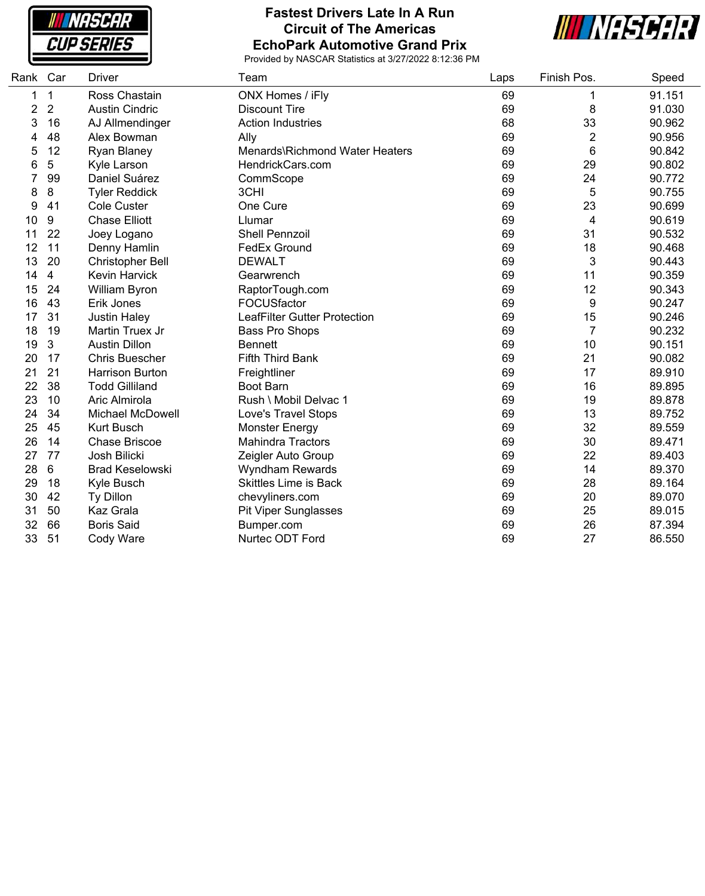**NASCAR CUP SERIES** 

#### **Fastest Drivers Late In A Run Circuit of The Americas EchoPark Automotive Grand Prix**



| Rank Car       |                | Driver                  | Team                                | Laps | Finish Pos.             | Speed  |
|----------------|----------------|-------------------------|-------------------------------------|------|-------------------------|--------|
| 1              | 1              | Ross Chastain           | ONX Homes / iFly                    | 69   | 1                       | 91.151 |
| $\overline{2}$ | $\overline{2}$ | <b>Austin Cindric</b>   | <b>Discount Tire</b>                | 69   | 8                       | 91.030 |
| 3              | 16             | AJ Allmendinger         | <b>Action Industries</b>            | 68   | 33                      | 90.962 |
| 4              | 48             | Alex Bowman             | Ally                                | 69   | $\overline{\mathbf{c}}$ | 90.956 |
| 5              | 12             | Ryan Blaney             | Menards\Richmond Water Heaters      | 69   | 6                       | 90.842 |
| 6              | 5              | Kyle Larson             | HendrickCars.com                    | 69   | 29                      | 90.802 |
|                | 99             | Daniel Suárez           | CommScope                           | 69   | 24                      | 90.772 |
| 8              | 8              | <b>Tyler Reddick</b>    | 3CHI                                | 69   | 5                       | 90.755 |
| 9              | 41             | <b>Cole Custer</b>      | One Cure                            | 69   | 23                      | 90.699 |
| 10             | 9              | <b>Chase Elliott</b>    | Llumar                              | 69   | 4                       | 90.619 |
| 11             | 22             | Joey Logano             | <b>Shell Pennzoil</b>               | 69   | 31                      | 90.532 |
| 12             | 11             | Denny Hamlin            | <b>FedEx Ground</b>                 | 69   | 18                      | 90.468 |
| 13             | 20             | <b>Christopher Bell</b> | <b>DEWALT</b>                       | 69   | 3                       | 90.443 |
| 14             | 4              | <b>Kevin Harvick</b>    | Gearwrench                          | 69   | 11                      | 90.359 |
| 15             | 24             | William Byron           | RaptorTough.com                     | 69   | 12                      | 90.343 |
| 16             | 43             | Erik Jones              | FOCUSfactor                         | 69   | 9                       | 90.247 |
| 17             | 31             | <b>Justin Haley</b>     | <b>LeafFilter Gutter Protection</b> | 69   | 15                      | 90.246 |
| 18             | 19             | Martin Truex Jr         | Bass Pro Shops                      | 69   | $\overline{7}$          | 90.232 |
| 19             | 3              | <b>Austin Dillon</b>    | <b>Bennett</b>                      | 69   | 10                      | 90.151 |
| 20             | 17             | <b>Chris Buescher</b>   | Fifth Third Bank                    | 69   | 21                      | 90.082 |
| 21             | 21             | <b>Harrison Burton</b>  | Freightliner                        | 69   | 17                      | 89.910 |
| 22             | 38             | <b>Todd Gilliland</b>   | <b>Boot Barn</b>                    | 69   | 16                      | 89.895 |
| 23             | 10             | Aric Almirola           | Rush \ Mobil Delvac 1               | 69   | 19                      | 89.878 |
| 24             | 34             | Michael McDowell        | Love's Travel Stops                 | 69   | 13                      | 89.752 |
| 25             | 45             | <b>Kurt Busch</b>       | <b>Monster Energy</b>               | 69   | 32                      | 89.559 |
| 26             | 14             | <b>Chase Briscoe</b>    | <b>Mahindra Tractors</b>            | 69   | 30                      | 89.471 |
| 27             | 77             | Josh Bilicki            | Zeigler Auto Group                  | 69   | 22                      | 89.403 |
| 28             | 6              | <b>Brad Keselowski</b>  | Wyndham Rewards                     | 69   | 14                      | 89.370 |
| 29             | 18             | Kyle Busch              | <b>Skittles Lime is Back</b>        | 69   | 28                      | 89.164 |
| 30             | 42             | Ty Dillon               | chevyliners.com                     | 69   | 20                      | 89.070 |
| 31             | 50             | Kaz Grala               | <b>Pit Viper Sunglasses</b>         | 69   | 25                      | 89.015 |
| 32             | 66             | <b>Boris Said</b>       | Bumper.com                          | 69   | 26                      | 87.394 |
| 33             | 51             | Cody Ware               | Nurtec ODT Ford                     | 69   | 27                      | 86.550 |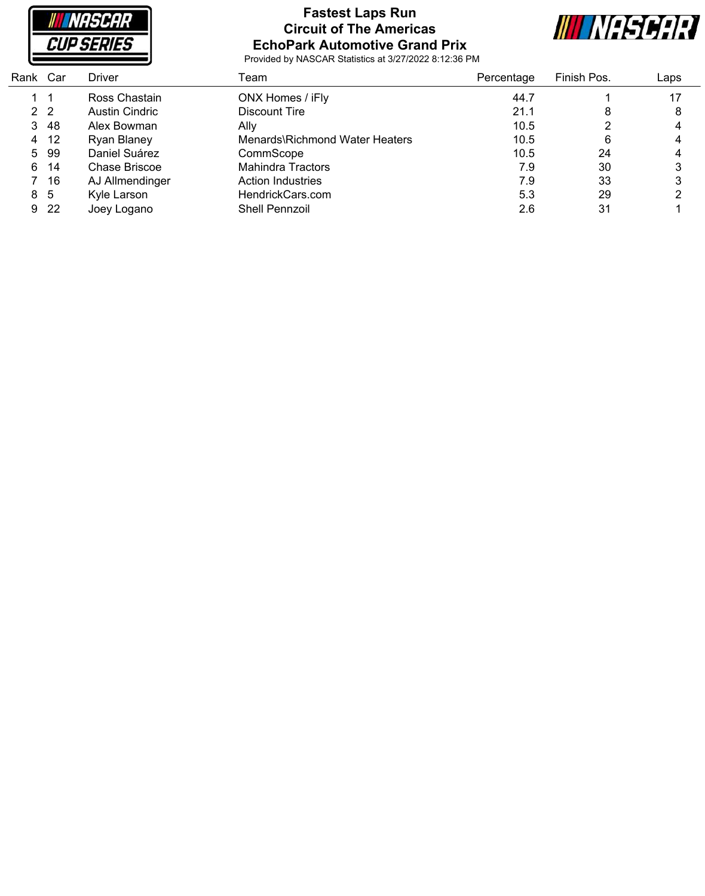

## **Fastest Laps Run Circuit of The Americas EchoPark Automotive Grand Prix**



| Rank Car       |      | Driver          | Team                           | Percentage | Finish Pos. | Laps |
|----------------|------|-----------------|--------------------------------|------------|-------------|------|
|                |      | Ross Chastain   | ONX Homes / iFly               | 44.7       |             | 17   |
| 2 <sub>2</sub> |      | Austin Cindric  | Discount Tire                  | 21.1       | 8           | 8    |
| 3              | -48  | Alex Bowman     | Ally                           | 10.5       |             | 4    |
| 4              | 12   | Ryan Blaney     | Menards\Richmond Water Heaters | 10.5       | 6           | 4    |
| 5              | -99  | Daniel Suárez   | CommScope                      | 10.5       | 24          |      |
| 6              | 14   | Chase Briscoe   | <b>Mahindra Tractors</b>       | 7.9        | 30          |      |
|                | 16   | AJ Allmendinger | Action Industries              | 7.9        | 33          |      |
| 8 5            |      | Kyle Larson     | HendrickCars.com               | 5.3        | 29          |      |
|                | 9 22 | Joey Logano     | <b>Shell Pennzoil</b>          | 2.6        | 31          |      |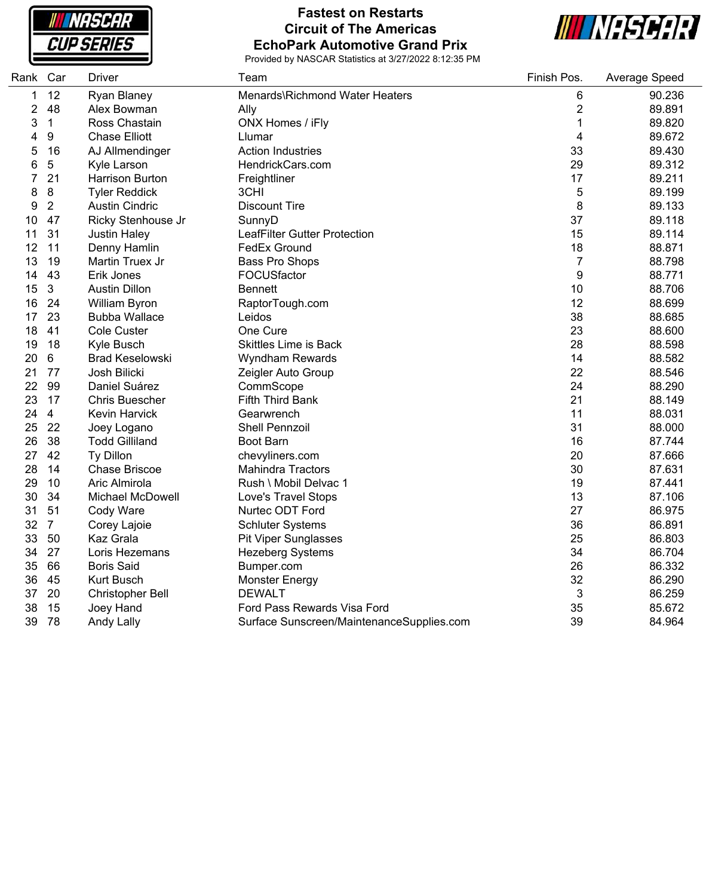**NASCAR CUP SERIES** 

## **Fastest on Restarts Circuit of The Americas EchoPark Automotive Grand Prix**



| Rank Car |                | <b>Driver</b>           | Team                                      | Finish Pos.             | Average Speed |
|----------|----------------|-------------------------|-------------------------------------------|-------------------------|---------------|
| 1        | 12             | Ryan Blaney             | Menards\Richmond Water Heaters            | 6                       | 90.236        |
| 2        | 48             | Alex Bowman             | Ally                                      | 2                       | 89.891        |
| 3        | $\mathbf{1}$   | Ross Chastain           | ONX Homes / iFly                          | 1                       | 89.820        |
| 4        | 9              | <b>Chase Elliott</b>    | Llumar                                    | $\overline{\mathbf{4}}$ | 89.672        |
| 5        | 16             | AJ Allmendinger         | <b>Action Industries</b>                  | 33                      | 89.430        |
| 6        | 5              | Kyle Larson             | HendrickCars.com                          | 29                      | 89.312        |
| 7        | 21             | <b>Harrison Burton</b>  | Freightliner                              | 17                      | 89.211        |
| 8        | 8              | <b>Tyler Reddick</b>    | 3CHI                                      | 5                       | 89.199        |
| 9        | $\overline{2}$ | <b>Austin Cindric</b>   | <b>Discount Tire</b>                      | 8                       | 89.133        |
| 10       | 47             | Ricky Stenhouse Jr      | SunnyD                                    | 37                      | 89.118        |
| 11       | 31             | <b>Justin Haley</b>     | LeafFilter Gutter Protection              | 15                      | 89.114        |
| 12       | 11             | Denny Hamlin            | <b>FedEx Ground</b>                       | 18                      | 88.871        |
| 13       | 19             | Martin Truex Jr         | Bass Pro Shops                            | $\overline{7}$          | 88.798        |
| 14       | 43             | Erik Jones              | FOCUSfactor                               | 9                       | 88.771        |
| 15       | 3              | <b>Austin Dillon</b>    | <b>Bennett</b>                            | 10                      | 88.706        |
| 16       | 24             | William Byron           | RaptorTough.com                           | 12                      | 88.699        |
| 17       | 23             | <b>Bubba Wallace</b>    | Leidos                                    | 38                      | 88.685        |
| 18       | 41             | Cole Custer             | One Cure                                  | 23                      | 88.600        |
| 19       | 18             | Kyle Busch              | <b>Skittles Lime is Back</b>              | 28                      | 88.598        |
| 20       | 6              | <b>Brad Keselowski</b>  | <b>Wyndham Rewards</b>                    | 14                      | 88.582        |
| 21       | 77             | Josh Bilicki            | Zeigler Auto Group                        | 22                      | 88.546        |
| 22       | 99             | Daniel Suárez           | CommScope                                 | 24                      | 88.290        |
| 23       | 17             | <b>Chris Buescher</b>   | Fifth Third Bank                          | 21                      | 88.149        |
| 24       | $\overline{4}$ | <b>Kevin Harvick</b>    | Gearwrench                                | 11                      | 88.031        |
| 25       | 22             | Joey Logano             | <b>Shell Pennzoil</b>                     | 31                      | 88.000        |
| 26       | 38             | <b>Todd Gilliland</b>   | Boot Barn                                 | 16                      | 87.744        |
| 27       | 42             | Ty Dillon               | chevyliners.com                           | 20                      | 87.666        |
| 28       | 14             | <b>Chase Briscoe</b>    | <b>Mahindra Tractors</b>                  | 30                      | 87.631        |
| 29       | 10             | Aric Almirola           | Rush \ Mobil Delvac 1                     | 19                      | 87.441        |
| 30       | 34             | Michael McDowell        | Love's Travel Stops                       | 13                      | 87.106        |
| 31       | 51             | Cody Ware               | Nurtec ODT Ford                           | 27                      | 86.975        |
| 32       | $\overline{7}$ | Corey Lajoie            | <b>Schluter Systems</b>                   | 36                      | 86.891        |
| 33       | 50             | Kaz Grala               | <b>Pit Viper Sunglasses</b>               | 25                      | 86.803        |
| 34       | 27             | Loris Hezemans          | <b>Hezeberg Systems</b>                   | 34                      | 86.704        |
| 35       | 66             | <b>Boris Said</b>       | Bumper.com                                | 26                      | 86.332        |
| 36       | 45             | <b>Kurt Busch</b>       | <b>Monster Energy</b>                     | 32                      | 86.290        |
| 37       | 20             | <b>Christopher Bell</b> | <b>DEWALT</b>                             | 3                       | 86.259        |
| 38       | 15             | Joey Hand               | Ford Pass Rewards Visa Ford               | 35                      | 85.672        |
| 39       | 78             | Andy Lally              | Surface Sunscreen/MaintenanceSupplies.com | 39                      | 84.964        |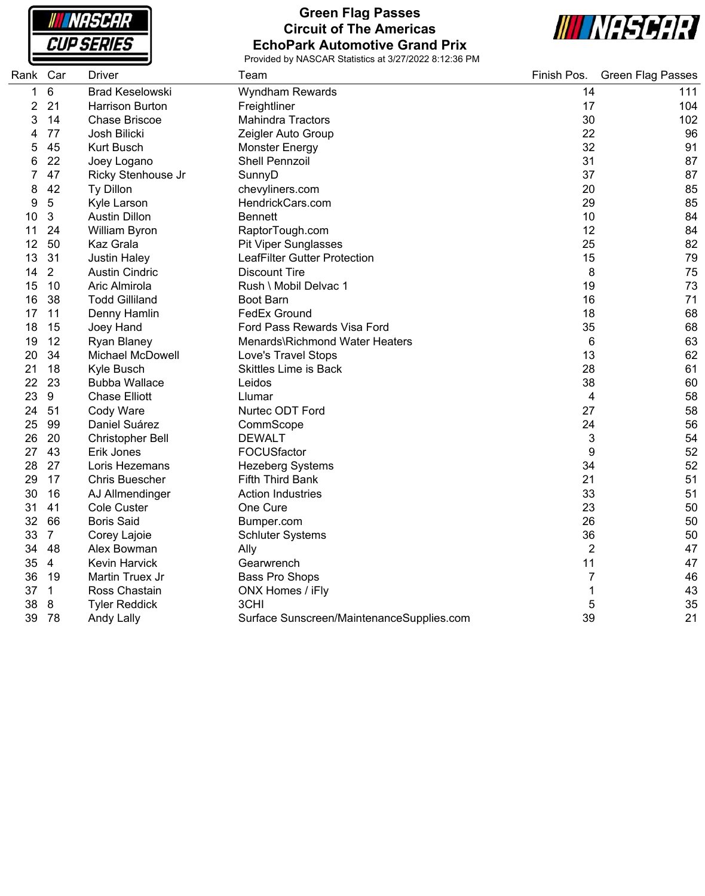

## **Green Flag Passes Circuit of The Americas EchoPark Automotive Grand Prix**



| Rank Car |                  | Driver                  | Team                                      | Finish Pos.    | <b>Green Flag Passes</b> |
|----------|------------------|-------------------------|-------------------------------------------|----------------|--------------------------|
| 1        | 6                | <b>Brad Keselowski</b>  | Wyndham Rewards                           | 14             | 111                      |
| 2        | 21               | Harrison Burton         | Freightliner                              | 17             | 104                      |
| 3        | 14               | <b>Chase Briscoe</b>    | <b>Mahindra Tractors</b>                  | 30             | 102                      |
| 4        | 77               | Josh Bilicki            | Zeigler Auto Group                        | 22             | 96                       |
| 5        | 45               | <b>Kurt Busch</b>       | <b>Monster Energy</b>                     | 32             | 91                       |
| 6        | 22               | Joey Logano             | <b>Shell Pennzoil</b>                     | 31             | 87                       |
|          | 47               | Ricky Stenhouse Jr      | SunnyD                                    | 37             | 87                       |
| 8        | 42               | Ty Dillon               | chevyliners.com                           | 20             | 85                       |
| 9        | 5                | Kyle Larson             | HendrickCars.com                          | 29             | 85                       |
| 10       | 3                | <b>Austin Dillon</b>    | <b>Bennett</b>                            | 10             | 84                       |
| 11       | 24               | William Byron           | RaptorTough.com                           | 12             | 84                       |
| 12       | 50               | Kaz Grala               | <b>Pit Viper Sunglasses</b>               | 25             | 82                       |
| 13       | 31               | <b>Justin Haley</b>     | <b>LeafFilter Gutter Protection</b>       | 15             | 79                       |
| 14       | 2                | <b>Austin Cindric</b>   | <b>Discount Tire</b>                      | 8              | 75                       |
| 15       | 10               | Aric Almirola           | Rush \ Mobil Delvac 1                     | 19             | 73                       |
| 16       | 38               | <b>Todd Gilliland</b>   | <b>Boot Barn</b>                          | 16             | 71                       |
| 17       | 11               | Denny Hamlin            | FedEx Ground                              | 18             | 68                       |
| 18       | 15               | Joey Hand               | Ford Pass Rewards Visa Ford               | 35             | 68                       |
| 19       | 12               | <b>Ryan Blaney</b>      | Menards\Richmond Water Heaters            | 6              | 63                       |
| 20       | 34               | Michael McDowell        | Love's Travel Stops                       | 13             | 62                       |
| 21       | 18               | Kyle Busch              | <b>Skittles Lime is Back</b>              | 28             | 61                       |
| 22       | 23               | <b>Bubba Wallace</b>    | Leidos                                    | 38             | 60                       |
| 23       | $\boldsymbol{9}$ | <b>Chase Elliott</b>    | Llumar                                    | 4              | 58                       |
| 24       | 51               | Cody Ware               | Nurtec ODT Ford                           | 27             | 58                       |
| 25       | 99               | Daniel Suárez           | CommScope                                 | 24             | 56                       |
| 26       | 20               | <b>Christopher Bell</b> | <b>DEWALT</b>                             | 3              | 54                       |
| 27       | 43               | Erik Jones              | FOCUSfactor                               | 9              | 52                       |
| 28       | 27               | Loris Hezemans          | <b>Hezeberg Systems</b>                   | 34             | 52                       |
| 29       | 17               | <b>Chris Buescher</b>   | <b>Fifth Third Bank</b>                   | 21             | 51                       |
| 30       | 16               | AJ Allmendinger         | <b>Action Industries</b>                  | 33             | 51                       |
| 31       | 41               | Cole Custer             | One Cure                                  | 23             | 50                       |
| 32       | 66               | <b>Boris Said</b>       | Bumper.com                                | 26             | 50                       |
| 33       | $\overline{7}$   | Corey Lajoie            | <b>Schluter Systems</b>                   | 36             | 50                       |
| 34       | 48               | Alex Bowman             | Ally                                      | $\overline{2}$ | 47                       |
| 35       | $\overline{4}$   | <b>Kevin Harvick</b>    | Gearwrench                                | 11             | 47                       |
| 36       | 19               | Martin Truex Jr         | Bass Pro Shops                            | 7              | 46                       |
| 37       | 1                | Ross Chastain           | ONX Homes / iFly                          | 1              | 43                       |
| 38       | 8                | <b>Tyler Reddick</b>    | 3CHI                                      | 5              | 35                       |
| 39       | 78               | <b>Andy Lally</b>       | Surface Sunscreen/MaintenanceSupplies.com | 39             | 21                       |
|          |                  |                         |                                           |                |                          |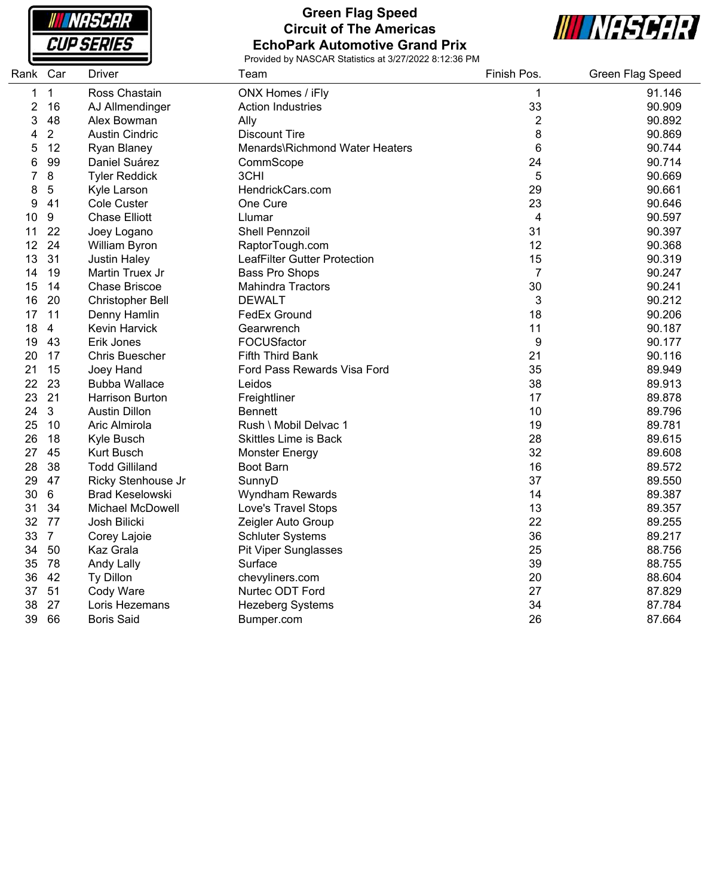**NASCAR CUP SERIES** 

#### **Green Flag Speed Circuit of The Americas EchoPark Automotive Grand Prix**



| Rank Car |                | Driver                 | Team                           | Finish Pos.     | Green Flag Speed |
|----------|----------------|------------------------|--------------------------------|-----------------|------------------|
| 1        | $\mathbf{1}$   | Ross Chastain          | ONX Homes / iFly               | 1               | 91.146           |
| 2        | 16             | AJ Allmendinger        | <b>Action Industries</b>       | 33              | 90.909           |
| 3        | 48             | Alex Bowman            | Ally                           | 2               | 90.892           |
| 4        | $\overline{2}$ | <b>Austin Cindric</b>  | <b>Discount Tire</b>           | 8               | 90.869           |
| 5        | 12             | Ryan Blaney            | Menards\Richmond Water Heaters | $6\phantom{1}6$ | 90.744           |
| 6        | 99             | Daniel Suárez          | CommScope                      | 24              | 90.714           |
| 7        | 8              | <b>Tyler Reddick</b>   | 3CHI                           | 5               | 90.669           |
| 8        | $\mathbf 5$    | Kyle Larson            | HendrickCars.com               | 29              | 90.661           |
| 9        | 41             | <b>Cole Custer</b>     | One Cure                       | 23              | 90.646           |
| 10       | 9              | <b>Chase Elliott</b>   | Llumar                         | $\overline{4}$  | 90.597           |
| 11       | 22             | Joey Logano            | <b>Shell Pennzoil</b>          | 31              | 90.397           |
| 12       | 24             | William Byron          | RaptorTough.com                | 12              | 90.368           |
| 13       | 31             | <b>Justin Haley</b>    | LeafFilter Gutter Protection   | 15              | 90.319           |
| 14       | 19             | Martin Truex Jr        | <b>Bass Pro Shops</b>          | $\overline{7}$  | 90.247           |
| 15       | 14             | <b>Chase Briscoe</b>   | <b>Mahindra Tractors</b>       | 30              | 90.241           |
| 16       | 20             | Christopher Bell       | <b>DEWALT</b>                  | 3               | 90.212           |
| 17       | 11             | Denny Hamlin           | FedEx Ground                   | 18              | 90.206           |
| 18       | 4              | Kevin Harvick          | Gearwrench                     | 11              | 90.187           |
| 19       | 43             | Erik Jones             | FOCUSfactor                    | 9               | 90.177           |
| 20       | 17             | <b>Chris Buescher</b>  | Fifth Third Bank               | 21              | 90.116           |
| 21       | 15             | Joey Hand              | Ford Pass Rewards Visa Ford    | 35              | 89.949           |
| 22       | 23             | <b>Bubba Wallace</b>   | Leidos                         | 38              | 89.913           |
| 23       | 21             | <b>Harrison Burton</b> | Freightliner                   | 17              | 89.878           |
| 24       | 3              | <b>Austin Dillon</b>   | <b>Bennett</b>                 | 10              | 89.796           |
| 25       | 10             | Aric Almirola          | Rush \ Mobil Delvac 1          | 19              | 89.781           |
| 26       | 18             | Kyle Busch             | <b>Skittles Lime is Back</b>   | 28              | 89.615           |
| 27       | 45             | <b>Kurt Busch</b>      | <b>Monster Energy</b>          | 32              | 89.608           |
| 28       | 38             | <b>Todd Gilliland</b>  | Boot Barn                      | 16              | 89.572           |
| 29       | 47             | Ricky Stenhouse Jr     | SunnyD                         | 37              | 89.550           |
| 30       | 6              | <b>Brad Keselowski</b> | <b>Wyndham Rewards</b>         | 14              | 89.387           |
| 31       | 34             | Michael McDowell       | Love's Travel Stops            | 13              | 89.357           |
| 32       | 77             | Josh Bilicki           | Zeigler Auto Group             | 22              | 89.255           |
| 33       | $\overline{7}$ | Corey Lajoie           | <b>Schluter Systems</b>        | 36              | 89.217           |
| 34       | 50             | Kaz Grala              | <b>Pit Viper Sunglasses</b>    | 25              | 88.756           |
| 35       | 78             | <b>Andy Lally</b>      | Surface                        | 39              | 88.755           |
| 36       | 42             | Ty Dillon              | chevyliners.com                | 20              | 88.604           |
| 37       | 51             | Cody Ware              | Nurtec ODT Ford                | 27              | 87.829           |
| 38       | 27             | Loris Hezemans         | <b>Hezeberg Systems</b>        | 34              | 87.784           |
| 39       | 66             | <b>Boris Said</b>      | Bumper.com                     | 26              | 87.664           |
|          |                |                        |                                |                 |                  |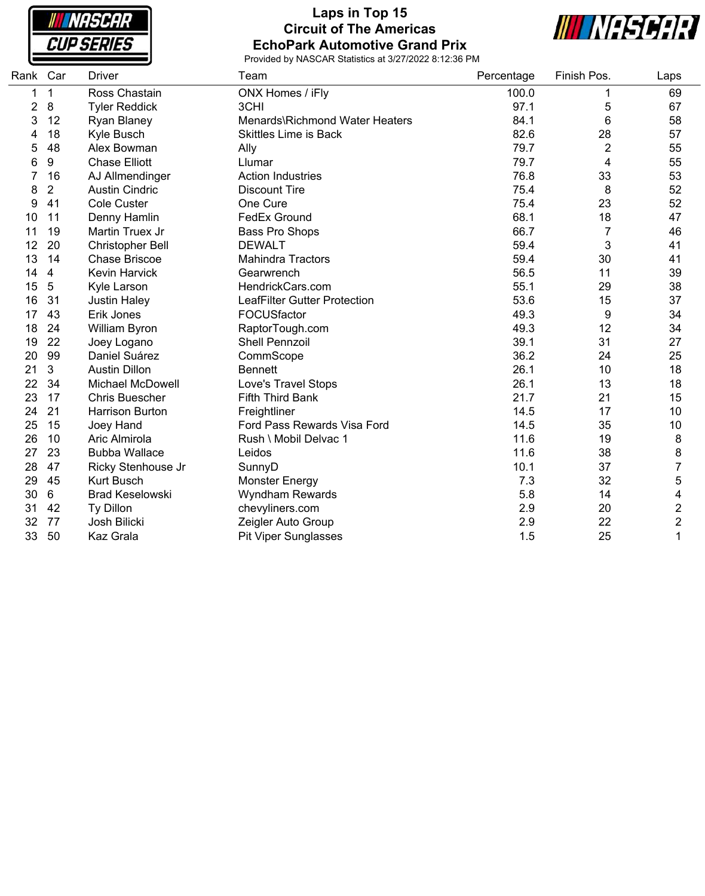**NASCAR CUP SERIES** 

## **Laps in Top 15 Circuit of The Americas EchoPark Automotive Grand Prix**



| Rank Car |                | <b>Driver</b>           | Team                                | Percentage | Finish Pos.    | Laps           |
|----------|----------------|-------------------------|-------------------------------------|------------|----------------|----------------|
| 1        | 1              | Ross Chastain           | ONX Homes / iFly                    | 100.0      | 1              | 69             |
| 2        | 8              | <b>Tyler Reddick</b>    | 3CHI                                | 97.1       | 5              | 67             |
| 3        | 12             | Ryan Blaney             | Menards\Richmond Water Heaters      | 84.1       | 6              | 58             |
| 4        | 18             | Kyle Busch              | <b>Skittles Lime is Back</b>        | 82.6       | 28             | 57             |
| 5        | 48             | Alex Bowman             | Ally                                | 79.7       | $\overline{2}$ | 55             |
| 6        | 9              | <b>Chase Elliott</b>    | Llumar                              | 79.7       | 4              | 55             |
| 7        | 16             | AJ Allmendinger         | <b>Action Industries</b>            | 76.8       | 33             | 53             |
| 8        | $\overline{2}$ | <b>Austin Cindric</b>   | <b>Discount Tire</b>                | 75.4       | 8              | 52             |
| 9        | 41             | <b>Cole Custer</b>      | One Cure                            | 75.4       | 23             | 52             |
| 10       | 11             | Denny Hamlin            | <b>FedEx Ground</b>                 | 68.1       | 18             | 47             |
| 11       | 19             | Martin Truex Jr         | Bass Pro Shops                      | 66.7       | 7              | 46             |
| 12       | 20             | Christopher Bell        | <b>DEWALT</b>                       | 59.4       | 3              | 41             |
| 13       | 14             | <b>Chase Briscoe</b>    | <b>Mahindra Tractors</b>            | 59.4       | 30             | 41             |
| 14       | 4              | <b>Kevin Harvick</b>    | Gearwrench                          | 56.5       | 11             | 39             |
| 15       | 5              | Kyle Larson             | HendrickCars.com                    | 55.1       | 29             | 38             |
| 16       | 31             | <b>Justin Haley</b>     | <b>LeafFilter Gutter Protection</b> | 53.6       | 15             | 37             |
| 17       | 43             | Erik Jones              | FOCUSfactor                         | 49.3       | 9              | 34             |
| 18       | 24             | William Byron           | RaptorTough.com                     | 49.3       | 12             | 34             |
| 19       | 22             | Joey Logano             | <b>Shell Pennzoil</b>               | 39.1       | 31             | 27             |
| 20       | 99             | Daniel Suárez           | CommScope                           | 36.2       | 24             | 25             |
| 21       | 3              | <b>Austin Dillon</b>    | <b>Bennett</b>                      | 26.1       | 10             | 18             |
| 22       | 34             | <b>Michael McDowell</b> | Love's Travel Stops                 | 26.1       | 13             | 18             |
| 23       | 17             | <b>Chris Buescher</b>   | Fifth Third Bank                    | 21.7       | 21             | 15             |
| 24       | 21             | <b>Harrison Burton</b>  | Freightliner                        | 14.5       | 17             | 10             |
| 25       | 15             | Joey Hand               | Ford Pass Rewards Visa Ford         | 14.5       | 35             | 10             |
| 26       | 10             | Aric Almirola           | Rush \ Mobil Delvac 1               | 11.6       | 19             | 8              |
| 27       | 23             | <b>Bubba Wallace</b>    | Leidos                              | 11.6       | 38             | 8              |
| 28       | 47             | Ricky Stenhouse Jr      | SunnyD                              | 10.1       | 37             | $\overline{7}$ |
| 29       | 45             | Kurt Busch              | <b>Monster Energy</b>               | 7.3        | 32             | 5              |
| 30       | 6              | Brad Keselowski         | <b>Wyndham Rewards</b>              | 5.8        | 14             | 4              |
| 31       | 42             | <b>Ty Dillon</b>        | chevyliners.com                     | 2.9        | 20             | 2              |
| 32       | 77             | Josh Bilicki            | Zeigler Auto Group                  | 2.9        | 22             | $\overline{2}$ |
| 33       | 50             | Kaz Grala               | <b>Pit Viper Sunglasses</b>         | 1.5        | 25             | 1              |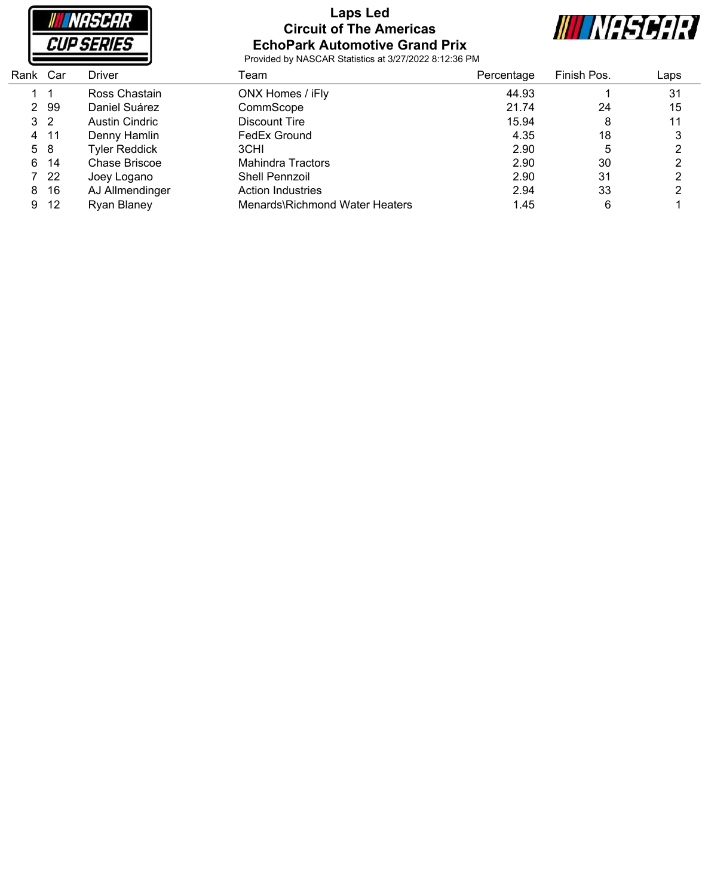

### **Laps Led Circuit of The Americas EchoPark Automotive Grand Prix**



|                |      | Ross Chastain        | ONX Homes / iFly               | 44.93 |    | 31 |
|----------------|------|----------------------|--------------------------------|-------|----|----|
| $\mathbf{2}^-$ | -99  | Daniel Suárez        | CommScope                      | 21.74 | 24 | 15 |
| 3 <sub>2</sub> |      | Austin Cindric       | Discount Tire                  | 15.94 | 8  | 11 |
| 4              | -11  | Denny Hamlin         | FedEx Ground                   | 4.35  | 18 |    |
| 5 8            |      | <b>Tyler Reddick</b> | 3CHI                           | 2.90  | 5  |    |
| 6.             | -14  | Chase Briscoe        | Mahindra Tractors              | 2.90  | 30 |    |
| 7 22           |      | Joey Logano          | <b>Shell Pennzoil</b>          | 2.90  | 31 |    |
| 8              | -16  | AJ Allmendinger      | Action Industries              | 2.94  | 33 |    |
| 9              | - 12 | Ryan Blaney          | Menards\Richmond Water Heaters | 1.45  | 6  |    |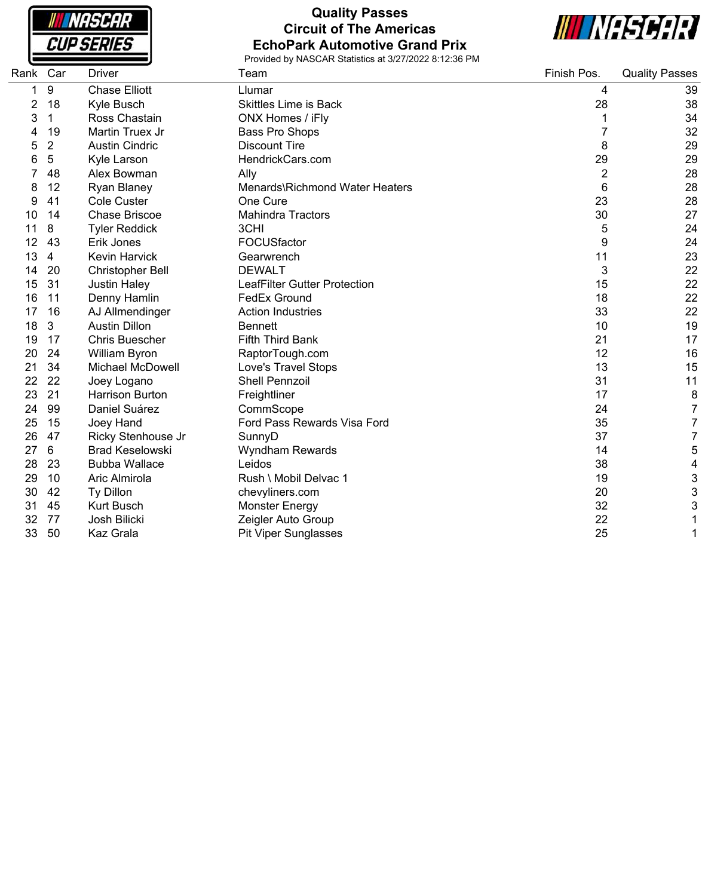**NASCAR CUP SERIES** 

## **Quality Passes Circuit of The Americas EchoPark Automotive Grand Prix**



| Rank | Car            | Driver                  | Team                                | Finish Pos.    | <b>Quality Passes</b>     |
|------|----------------|-------------------------|-------------------------------------|----------------|---------------------------|
|      | 9              | <b>Chase Elliott</b>    | Llumar                              | 4              | 39                        |
| 2    | 18             | Kyle Busch              | <b>Skittles Lime is Back</b>        | 28             | 38                        |
| 3    | 1              | Ross Chastain           | ONX Homes / iFly                    |                | 34                        |
|      | 19             | Martin Truex Jr         | <b>Bass Pro Shops</b>               |                | 32                        |
| 5    | $\overline{2}$ | <b>Austin Cindric</b>   | <b>Discount Tire</b>                | 8              | 29                        |
| 6    | $\sqrt{5}$     | Kyle Larson             | HendrickCars.com                    | 29             | 29                        |
|      | 48             | Alex Bowman             | Ally                                | $\overline{2}$ | 28                        |
| 8    | 12             | <b>Ryan Blaney</b>      | Menards\Richmond Water Heaters      | 6              | 28                        |
| 9    | 41             | <b>Cole Custer</b>      | One Cure                            | 23             | 28                        |
| 10   | 14             | <b>Chase Briscoe</b>    | <b>Mahindra Tractors</b>            | 30             | 27                        |
| 11   | 8              | <b>Tyler Reddick</b>    | 3CHI                                | 5              | 24                        |
| 12   | 43             | Erik Jones              | FOCUSfactor                         | 9              | 24                        |
| 13   | 4              | Kevin Harvick           | Gearwrench                          | 11             | 23                        |
| 14   | 20             | <b>Christopher Bell</b> | <b>DEWALT</b>                       | 3              | 22                        |
| 15   | 31             | <b>Justin Haley</b>     | <b>LeafFilter Gutter Protection</b> | 15             | 22                        |
| 16   | 11             | Denny Hamlin            | <b>FedEx Ground</b>                 | 18             | 22                        |
| 17   | 16             | AJ Allmendinger         | <b>Action Industries</b>            | 33             | 22                        |
| 18   | 3              | <b>Austin Dillon</b>    | <b>Bennett</b>                      | 10             | 19                        |
| 19   | 17             | Chris Buescher          | Fifth Third Bank                    | 21             | 17                        |
| 20   | 24             | William Byron           | RaptorTough.com                     | 12             | 16                        |
| 21   | 34             | Michael McDowell        | Love's Travel Stops                 | 13             | 15                        |
| 22   | 22             | Joey Logano             | <b>Shell Pennzoil</b>               | 31             | 11                        |
| 23   | 21             | <b>Harrison Burton</b>  | Freightliner                        | 17             | 8                         |
| 24   | 99             | Daniel Suárez           | CommScope                           | 24             | 7                         |
| 25   | 15             | Joey Hand               | Ford Pass Rewards Visa Ford         | 35             | $\overline{7}$            |
| 26   | 47             | Ricky Stenhouse Jr      | SunnyD                              | 37             | 7                         |
| 27   | 6              | <b>Brad Keselowski</b>  | <b>Wyndham Rewards</b>              | 14             | 5                         |
| 28   | 23             | <b>Bubba Wallace</b>    | Leidos                              | 38             | 4                         |
| 29   | 10             | Aric Almirola           | Rush \ Mobil Delvac 1               | 19             | $\ensuremath{\mathsf{3}}$ |
| 30   | 42             | Ty Dillon               | chevyliners.com                     | 20             | $\ensuremath{\mathsf{3}}$ |
| 31   | 45             | Kurt Busch              | <b>Monster Energy</b>               | 32             | 3                         |
| 32   | 77             | Josh Bilicki            | Zeigler Auto Group                  | 22             | 1                         |
| 33   | 50             | Kaz Grala               | <b>Pit Viper Sunglasses</b>         | 25             | 1                         |